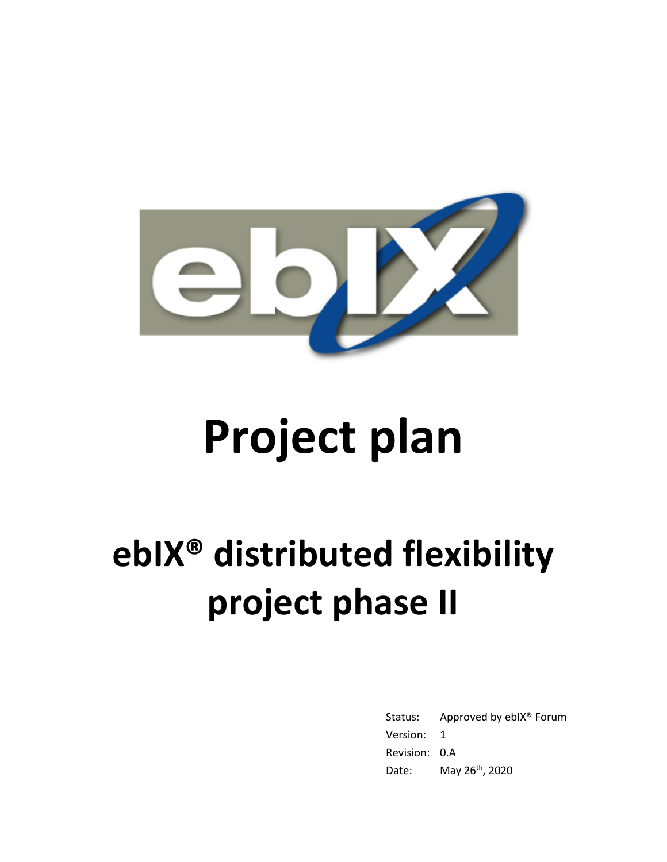

# **Project plan**

# **ebIX® distributed flexibility project phase II**

Status: Approved by ebIX® Forum Version: 1 Revision: 0.A Date: May 26<sup>th</sup>, 2020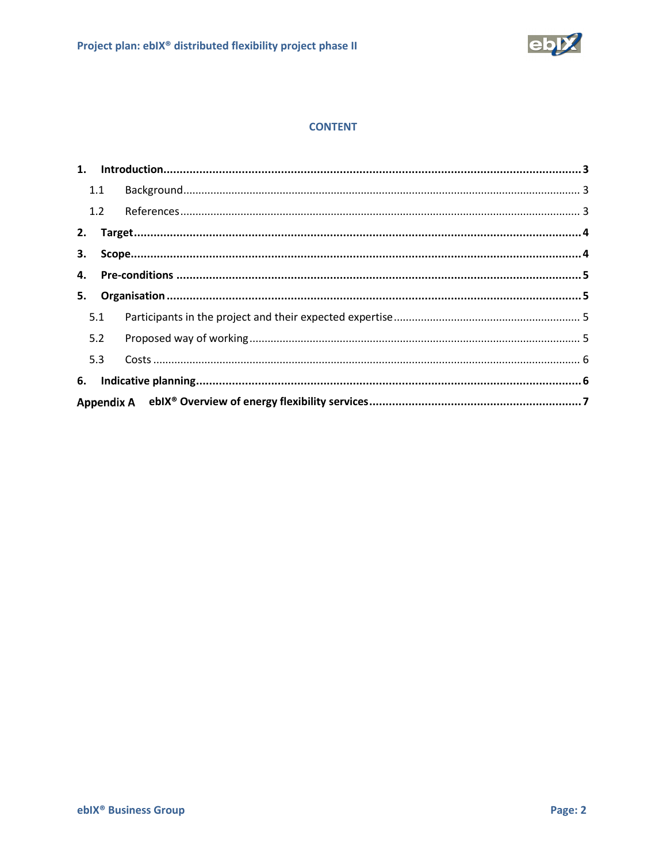

#### **CONTENT**

|    | 1.1 |  |  |  |  |  |  |  |
|----|-----|--|--|--|--|--|--|--|
|    | 1.2 |  |  |  |  |  |  |  |
|    |     |  |  |  |  |  |  |  |
| 3. |     |  |  |  |  |  |  |  |
|    |     |  |  |  |  |  |  |  |
|    |     |  |  |  |  |  |  |  |
|    | 5.1 |  |  |  |  |  |  |  |
|    | 5.2 |  |  |  |  |  |  |  |
|    | 5.3 |  |  |  |  |  |  |  |
| 6. |     |  |  |  |  |  |  |  |
|    |     |  |  |  |  |  |  |  |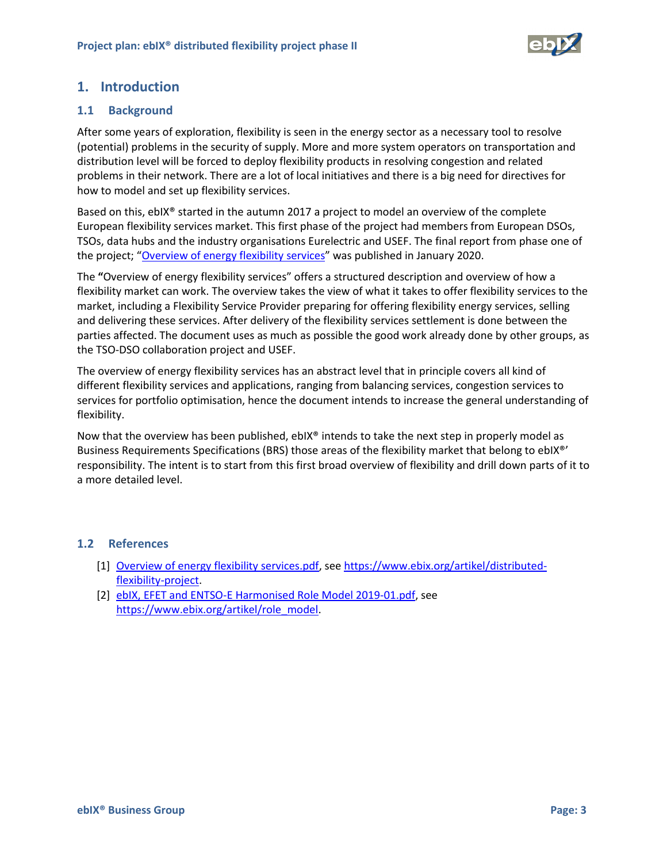

## <span id="page-2-0"></span>**1. Introduction**

#### <span id="page-2-1"></span>**1.1 Background**

After some years of exploration, flexibility is seen in the energy sector as a necessary tool to resolve (potential) problems in the security of supply. More and more system operators on transportation and distribution level will be forced to deploy flexibility products in resolving congestion and related problems in their network. There are a lot of local initiatives and there is a big need for directives for how to model and set up flexibility services.

Based on this, ebIX® started in the autumn 2017 a project to model an overview of the complete European flexibility services market. This first phase of the project had members from European DSOs, TSOs, data hubs and the industry organisations Eurelectric and USEF. The final report from phase one of the project; "Overview of energy flexibility services" was published in January 2020.

The **"**Overview of energy flexibility services" offers a structured description and overview of how a flexibility market can work. The overview takes the view of what it takes to offer flexibility services to the market, including a Flexibility Service Provider preparing for offering flexibility energy services, selling and delivering these services. After delivery of the flexibility services settlement is done between the parties affected. The document uses as much as possible the good work already done by other groups, as the TSO-DSO collaboration project and USEF.

The overview of energy flexibility services has an abstract level that in principle covers all kind of different flexibility services and applications, ranging from balancing services, congestion services to services for portfolio optimisation, hence the document intends to increase the general understanding of flexibility.

Now that the overview has been published,  $ebX^*$  intends to take the next step in properly model as Business Requirements Specifications (BRS) those areas of the flexibility market that belong to ebIX®' responsibility. The intent is to start from this first broad overview of flexibility and drill down parts of it to a more detailed level.

#### <span id="page-2-4"></span><span id="page-2-2"></span>**1.2 References**

- [1] Overview of energy flexibility services.pdf, see https://www.ebix.org/artikel/distributedflexibility-project.
- <span id="page-2-3"></span>[2] ebIX, EFET and ENTSO-E Harmonised Role Model 2019-01.pdf, see https://www.ebix.org/artikel/role\_model.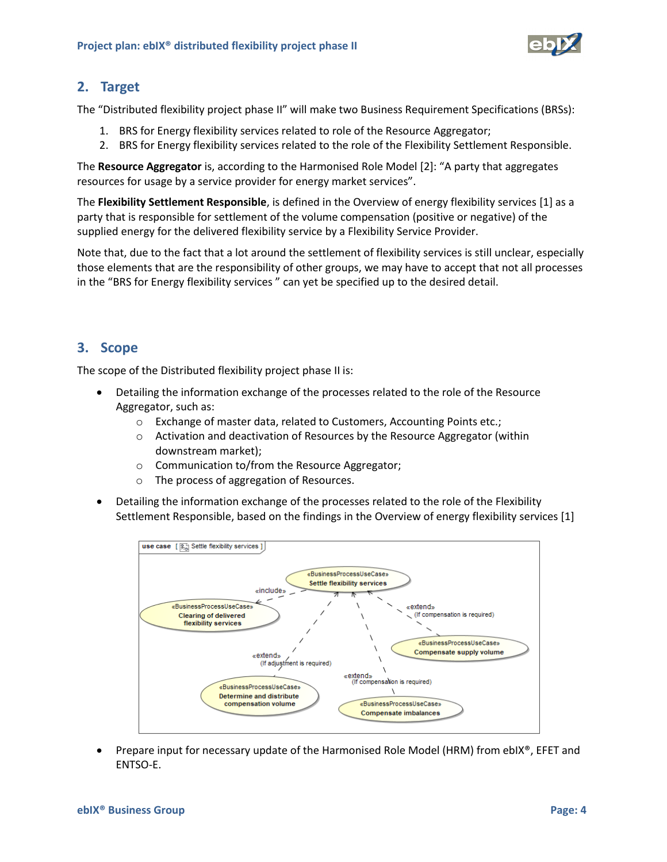

### <span id="page-3-0"></span>**2. Target**

The "Distributed flexibility project phase II" will make two Business Requirement Specifications (BRSs):

- 1. BRS for Energy flexibility services related to role of the Resource Aggregator;
- 2. BRS for Energy flexibility services related to the role of the Flexibility Settlement Responsible.

The **Resource Aggregator** is, according to the Harmonised Role Model [\[2\]](#page-2-3): "A party that aggregates resources for usage by a service provider for energy market services".

The **Flexibility Settlement Responsible**, is defined in the Overview of energy flexibility services [\[1\]](#page-2-4) as a party that is responsible for settlement of the volume compensation (positive or negative) of the supplied energy for the delivered flexibility service by a Flexibility Service Provider.

Note that, due to the fact that a lot around the settlement of flexibility services is still unclear, especially those elements that are the responsibility of other groups, we may have to accept that not all processes in the "BRS for Energy flexibility services " can yet be specified up to the desired detail.

# <span id="page-3-1"></span>**3. Scope**

The scope of the Distributed flexibility project phase II is:

- Detailing the information exchange of the processes related to the role of the Resource Aggregator, such as:
	- o Exchange of master data, related to Customers, Accounting Points etc.;
	- o Activation and deactivation of Resources by the Resource Aggregator (within downstream market);
	- o Communication to/from the Resource Aggregator;
	- o The process of aggregation of Resources.
- Detailing the information exchange of the processes related to the role of the Flexibility Settlement Responsible, based on the findings in the Overview of energy flexibility services [\[1\]](#page-2-4)



• Prepare input for necessary update of the Harmonised Role Model (HRM) from ebIX®, EFET and ENTSO-E.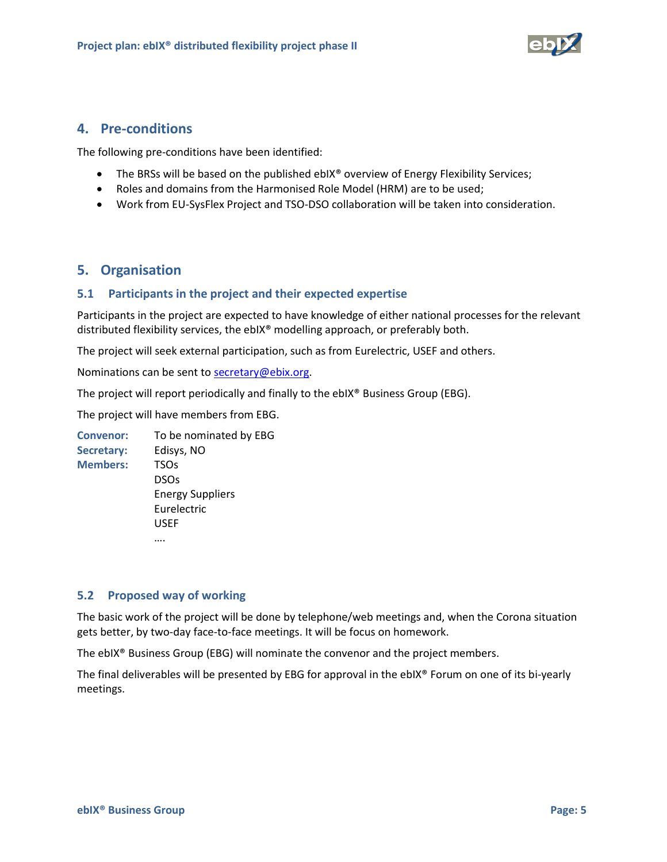

### <span id="page-4-0"></span>**4. Pre-conditions**

The following pre-conditions have been identified:

- The BRSs will be based on the published ebIX® overview of Energy Flexibility Services;
- Roles and domains from the Harmonised Role Model (HRM) are to be used;
- Work from EU-SysFlex Project and TSO-DSO collaboration will be taken into consideration.

# <span id="page-4-1"></span>**5. Organisation**

#### <span id="page-4-2"></span>**5.1 Participants in the project and their expected expertise**

Participants in the project are expected to have knowledge of either national processes for the relevant distributed flexibility services, the ebIX® modelling approach, or preferably both.

The project will seek external participation, such as from Eurelectric, USEF and others.

Nominations can be sent to secretary@ebix.org.

The project will report periodically and finally to the ebIX® Business Group (EBG).

The project will have members from EBG.

**Convenor:** To be nominated by EBG **Secretary:** Edisys, NO **Members:** TSOs DSOs Energy Suppliers Eurelectric USEF ….

#### <span id="page-4-3"></span>**5.2 Proposed way of working**

The basic work of the project will be done by telephone/web meetings and, when the Corona situation gets better, by two-day face-to-face meetings. It will be focus on homework.

The ebIX® Business Group (EBG) will nominate the convenor and the project members.

The final deliverables will be presented by EBG for approval in the ebIX® Forum on one of its bi-yearly meetings.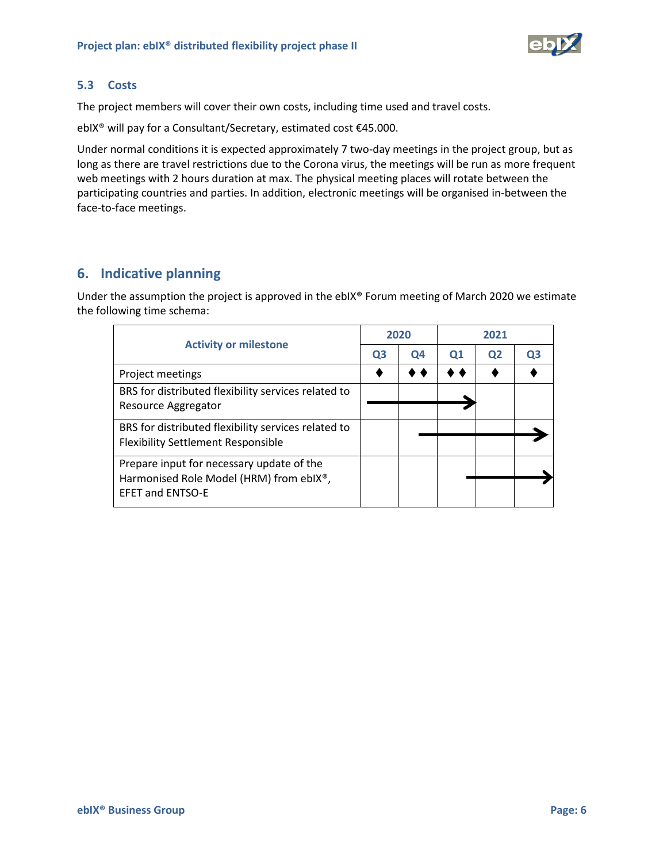

#### <span id="page-5-0"></span>**5.3 Costs**

The project members will cover their own costs, including time used and travel costs.

ebIX® will pay for a Consultant/Secretary, estimated cost €45.000.

Under normal conditions it is expected approximately 7 two-day meetings in the project group, but as long as there are travel restrictions due to the Corona virus, the meetings will be run as more frequent web meetings with 2 hours duration at max. The physical meeting places will rotate between the participating countries and parties. In addition, electronic meetings will be organised in-between the face-to-face meetings.

# <span id="page-5-1"></span>**6. Indicative planning**

Under the assumption the project is approved in the ebIX® Forum meeting of March 2020 we estimate the following time schema:

| <b>Activity or milestone</b>                                                                      |  | 2020 |          | 2021           |    |  |
|---------------------------------------------------------------------------------------------------|--|------|----------|----------------|----|--|
|                                                                                                   |  | Q4   | $\Omega$ | Q <sub>2</sub> | OЗ |  |
| Project meetings                                                                                  |  |      |          |                |    |  |
| BRS for distributed flexibility services related to<br>Resource Aggregator                        |  |      |          |                |    |  |
| BRS for distributed flexibility services related to<br><b>Flexibility Settlement Responsible</b>  |  |      |          |                |    |  |
| Prepare input for necessary update of the<br>Harmonised Role Model (HRM) from ebIX <sup>®</sup> , |  |      |          |                |    |  |
| <b>EFET and ENTSO-E</b>                                                                           |  |      |          |                |    |  |